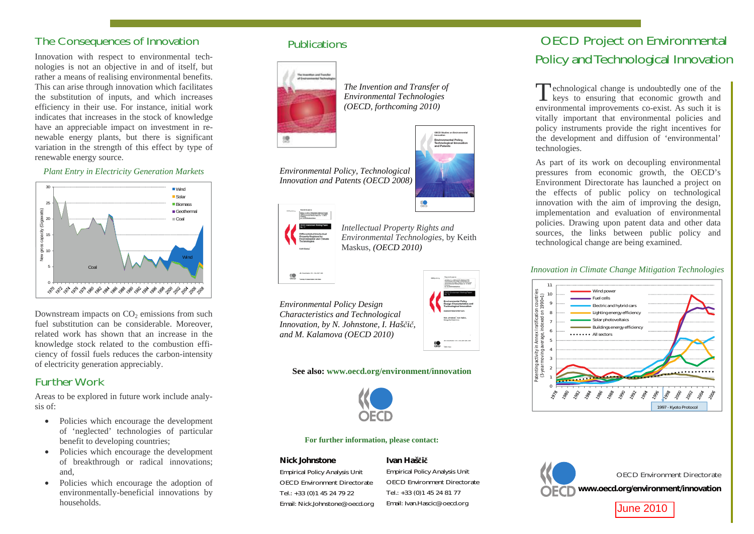# The Consequences of Innovation

Innovation with respect to environmental technologies is not an objective in and of itself, but rather a means of realising environmental benefits. This can arise through innovation which facilitates the substitution of inputs, and which increases efficiency in their use. For instance, initial work indicates that increases in the stock of knowledge have an appreciable impact on investment in renewable energy plants, but there is significant variation in the strength of this effect by type of renewable energy source.

*Plant Entry in Electricity Generation Markets* 



Downstream impacts on  $CO<sub>2</sub>$  emissions from such fuel substitution can be considerable. Moreover, related work has shown that an increase in the knowledge stock related to the combustion efficiency of fossil fuels reduces the carbon-intensity of electricity generation appreciably.

# Further Work

Areas to be explored in future work include analysis of:

- Policies which encourage the development of 'neglected' technologies of particular benefit to developing countries;
- Policies which encourage the development of breakthrough or radical innovations; and,
- Policies which encourage the adoption of environmentally-beneficial innovations by households.

### Publications



*The Invention and Transfer of Environmental Technologies (OECD, forthcoming 2010)*





**OECD Studies on Environmental Environmental Policy, Technological Innovation and Patents**

*Intellectual Property Rights and Environmental Technologies*, by Keith Maskus, *(OECD 2010)*

*Environmental Policy Design Characteristics and Technological Innovation, by N. Johnstone, I. Hašþiþ, and M. Kalamova (OECD 2010)*

### **See also: www.oecd.org/environment/innovation**



**For further information, please contact:**

#### **Nick Johnstone**

Empirical Policy Analysis Unit OECD Environment Directorate Tel.: +33 (0)1 45 24 79 22 Email: Nick.Johnstone@oecd.org

### **Ivan Hašÿiÿ**

Empirical Policy Analysis Unit OECD Environment Directorate Tel.: +33 (0)1 45 24 81 77 Email: Ivan.Hascic@oecd.org

# **OECD Project on Environment** Policy and Technological Innova

 $\Gamma$  echnological change is undoubtedly one of keys to ensuring that economic growth environmental improvements co-exist. As such it vitally important that environmental policies policy instruments provide the right incentives the development and diffusion of 'environment technologies.

As part of its work on decoupling environment pressures from economic growth, the OEC Environment Directorate has launched a project the effects of public policy on technolog innovation with the aim of improving the desi implementation and evaluation of environmental policies. Drawing upon patent data and other d sources, the links between public policy technological change are being examined.

### *Innovation in Climate Change Mitigation Technology*